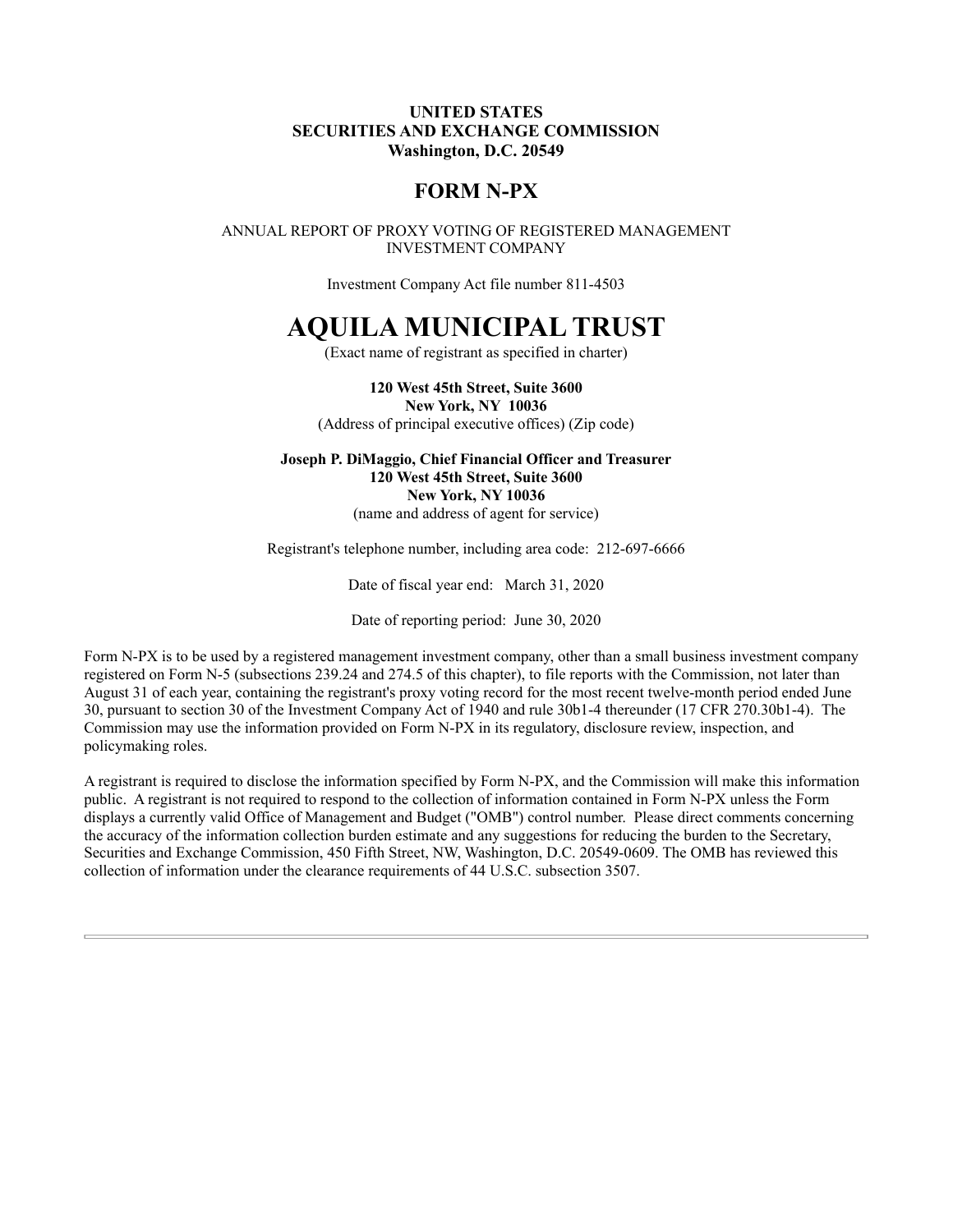## UNITED STATES SECURITIES AND EXCHANGE COMMISSION Washington, D.C. 20549

## FORM N-PX

ANNUAL REPORT OF PROXY VOTING OF REGISTERED MANAGEMENT INVESTMENT COMPANY

Investment Company Act file number 811-4503

## AQUILA MUNICIPAL TRUST

(Exact name of registrant as specified in charter)

120 West 45th Street, Suite 3600 New York, NY 10036 (Address of principal executive offices) (Zip code)

Joseph P. DiMaggio, Chief Financial Officer and Treasurer 120 West 45th Street, Suite 3600 New York, NY 10036 (name and address of agent for service)

Registrant's telephone number, including area code: 212-697-6666

Date of fiscal year end: March 31, 2020

Date of reporting period: June 30, 2020

Form N-PX is to be used by a registered management investment company, other than a small business investment company registered on Form N-5 (subsections 239.24 and 274.5 of this chapter), to file reports with the Commission, not later than August 31 of each year, containing the registrant's proxy voting record for the most recent twelve-month period ended June 30, pursuant to section 30 of the Investment Company Act of 1940 and rule 30b1-4 thereunder (17 CFR 270.30b1-4). The Commission may use the information provided on Form N-PX in its regulatory, disclosure review, inspection, and policymaking roles.

A registrant is required to disclose the information specified by Form N-PX, and the Commission will make this information public. A registrant is not required to respond to the collection of information contained in Form N-PX unless the Form displays a currently valid Office of Management and Budget ("OMB") control number. Please direct comments concerning the accuracy of the information collection burden estimate and any suggestions for reducing the burden to the Secretary, Securities and Exchange Commission, 450 Fifth Street, NW, Washington, D.C. 20549-0609. The OMB has reviewed this collection of information under the clearance requirements of 44 U.S.C. subsection 3507.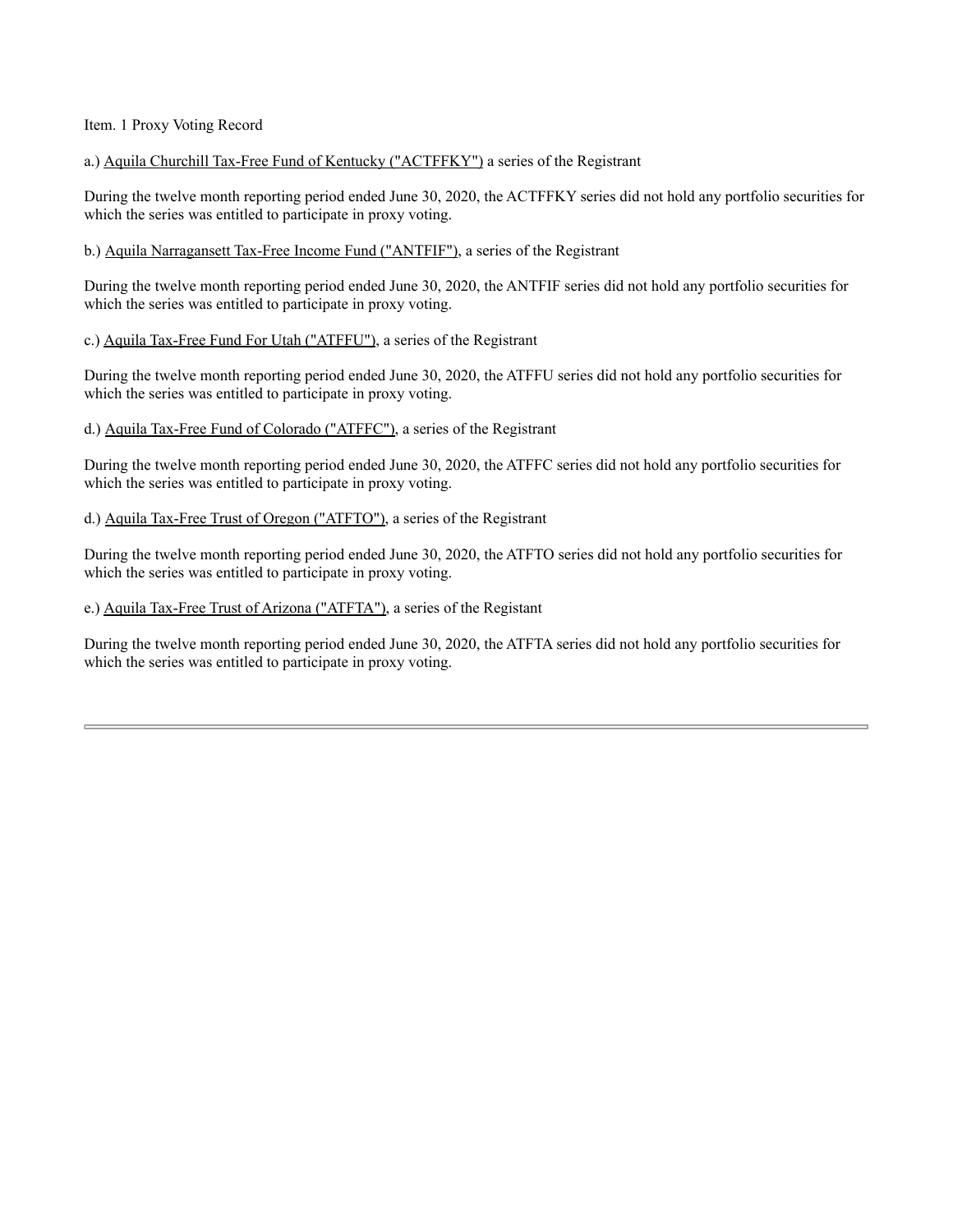Item. 1 Proxy Voting Record

a.) Aquila Churchill Tax-Free Fund of Kentucky ("ACTFFKY") a series of the Registrant

During the twelve month reporting period ended June 30, 2020, the ACTFFKY series did not hold any portfolio securities for which the series was entitled to participate in proxy voting.

b.) Aquila Narragansett Tax-Free Income Fund ("ANTFIF"), a series of the Registrant

During the twelve month reporting period ended June 30, 2020, the ANTFIF series did not hold any portfolio securities for which the series was entitled to participate in proxy voting.

c.) Aquila Tax-Free Fund For Utah ("ATFFU"), a series of the Registrant

During the twelve month reporting period ended June 30, 2020, the ATFFU series did not hold any portfolio securities for which the series was entitled to participate in proxy voting.

d.) Aquila Tax-Free Fund of Colorado ("ATFFC"), a series of the Registrant

During the twelve month reporting period ended June 30, 2020, the ATFFC series did not hold any portfolio securities for which the series was entitled to participate in proxy voting.

d.) Aquila Tax-Free Trust of Oregon ("ATFTO"), a series of the Registrant

During the twelve month reporting period ended June 30, 2020, the ATFTO series did not hold any portfolio securities for which the series was entitled to participate in proxy voting.

e.) Aquila Tax-Free Trust of Arizona ("ATFTA"), a series of the Registant

During the twelve month reporting period ended June 30, 2020, the ATFTA series did not hold any portfolio securities for which the series was entitled to participate in proxy voting.